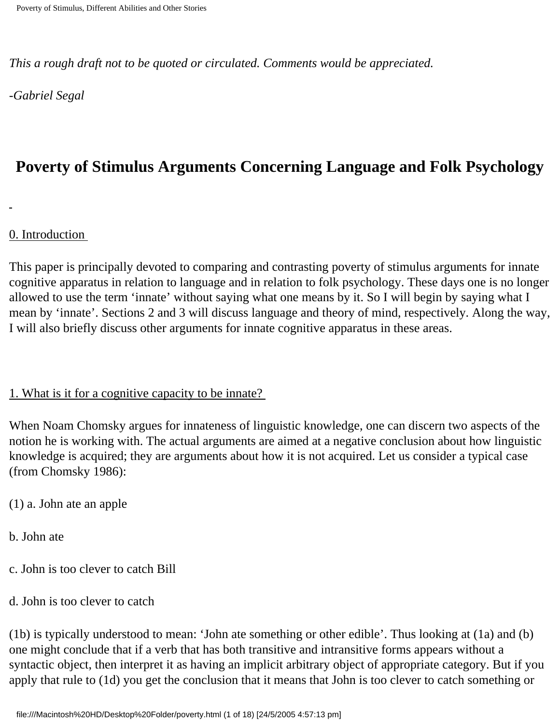*This a rough draft not to be quoted or circulated. Comments would be appreciated.* 

*-Gabriel Segal* 

# **Poverty of Stimulus Arguments Concerning Language and Folk Psychology**

#### 0. Introduction

This paper is principally devoted to comparing and contrasting poverty of stimulus arguments for innate cognitive apparatus in relation to language and in relation to folk psychology. These days one is no longer allowed to use the term 'innate' without saying what one means by it. So I will begin by saying what I mean by 'innate'. Sections 2 and 3 will discuss language and theory of mind, respectively. Along the way, I will also briefly discuss other arguments for innate cognitive apparatus in these areas.

#### 1. What is it for a cognitive capacity to be innate?

When Noam Chomsky argues for innateness of linguistic knowledge, one can discern two aspects of the notion he is working with. The actual arguments are aimed at a negative conclusion about how linguistic knowledge is acquired; they are arguments about how it is not acquired. Let us consider a typical case (from Chomsky 1986):

- (1) a. John ate an apple
- b. John ate
- c. John is too clever to catch Bill
- d. John is too clever to catch

(1b) is typically understood to mean: 'John ate something or other edible'. Thus looking at (1a) and (b) one might conclude that if a verb that has both transitive and intransitive forms appears without a syntactic object, then interpret it as having an implicit arbitrary object of appropriate category. But if you apply that rule to (1d) you get the conclusion that it means that John is too clever to catch something or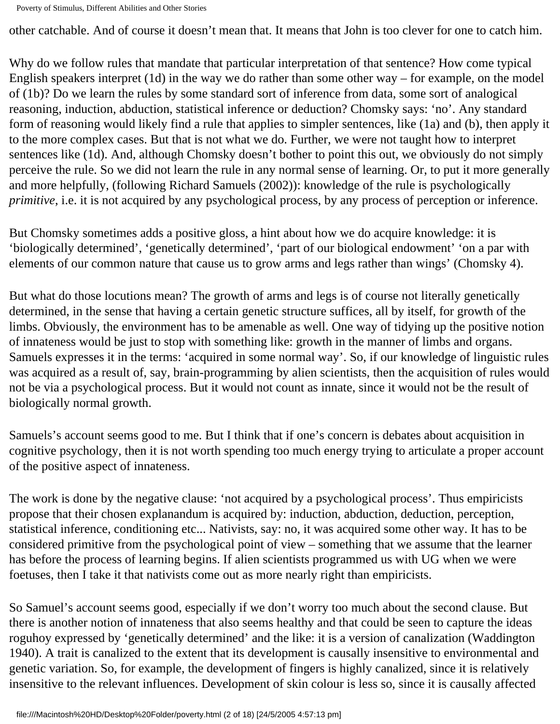Poverty of Stimulus, Different Abilities and Other Stories

other catchable. And of course it doesn't mean that. It means that John is too clever for one to catch him.

Why do we follow rules that mandate that particular interpretation of that sentence? How come typical English speakers interpret (1d) in the way we do rather than some other way – for example, on the model of (1b)? Do we learn the rules by some standard sort of inference from data, some sort of analogical reasoning, induction, abduction, statistical inference or deduction? Chomsky says: 'no'. Any standard form of reasoning would likely find a rule that applies to simpler sentences, like (1a) and (b), then apply it to the more complex cases. But that is not what we do. Further, we were not taught how to interpret sentences like (1d). And, although Chomsky doesn't bother to point this out, we obviously do not simply perceive the rule. So we did not learn the rule in any normal sense of learning. Or, to put it more generally and more helpfully, (following Richard Samuels (2002)): knowledge of the rule is psychologically *primitive*, i.e. it is not acquired by any psychological process, by any process of perception or inference.

But Chomsky sometimes adds a positive gloss, a hint about how we do acquire knowledge: it is 'biologically determined', 'genetically determined', 'part of our biological endowment' 'on a par with elements of our common nature that cause us to grow arms and legs rather than wings' (Chomsky 4).

But what do those locutions mean? The growth of arms and legs is of course not literally genetically determined, in the sense that having a certain genetic structure suffices, all by itself, for growth of the limbs. Obviously, the environment has to be amenable as well. One way of tidying up the positive notion of innateness would be just to stop with something like: growth in the manner of limbs and organs. Samuels expresses it in the terms: 'acquired in some normal way'. So, if our knowledge of linguistic rules was acquired as a result of, say, brain-programming by alien scientists, then the acquisition of rules would not be via a psychological process. But it would not count as innate, since it would not be the result of biologically normal growth.

Samuels's account seems good to me. But I think that if one's concern is debates about acquisition in cognitive psychology, then it is not worth spending too much energy trying to articulate a proper account of the positive aspect of innateness.

The work is done by the negative clause: 'not acquired by a psychological process'. Thus empiricists propose that their chosen explanandum is acquired by: induction, abduction, deduction, perception, statistical inference, conditioning etc... Nativists, say: no, it was acquired some other way. It has to be considered primitive from the psychological point of view – something that we assume that the learner has before the process of learning begins. If alien scientists programmed us with UG when we were foetuses, then I take it that nativists come out as more nearly right than empiricists.

So Samuel's account seems good, especially if we don't worry too much about the second clause. But there is another notion of innateness that also seems healthy and that could be seen to capture the ideas roguhoy expressed by 'genetically determined' and the like: it is a version of canalization (Waddington 1940). A trait is canalized to the extent that its development is causally insensitive to environmental and genetic variation. So, for example, the development of fingers is highly canalized, since it is relatively insensitive to the relevant influences. Development of skin colour is less so, since it is causally affected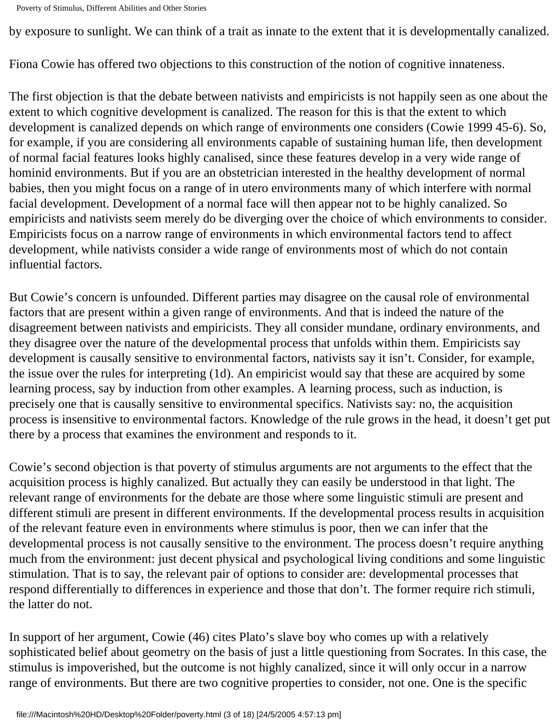Poverty of Stimulus, Different Abilities and Other Stories

by exposure to sunlight. We can think of a trait as innate to the extent that it is developmentally canalized.

Fiona Cowie has offered two objections to this construction of the notion of cognitive innateness.

The first objection is that the debate between nativists and empiricists is not happily seen as one about the extent to which cognitive development is canalized. The reason for this is that the extent to which development is canalized depends on which range of environments one considers (Cowie 1999 45-6). So, for example, if you are considering all environments capable of sustaining human life, then development of normal facial features looks highly canalised, since these features develop in a very wide range of hominid environments. But if you are an obstetrician interested in the healthy development of normal babies, then you might focus on a range of in utero environments many of which interfere with normal facial development. Development of a normal face will then appear not to be highly canalized. So empiricists and nativists seem merely do be diverging over the choice of which environments to consider. Empiricists focus on a narrow range of environments in which environmental factors tend to affect development, while nativists consider a wide range of environments most of which do not contain influential factors.

But Cowie's concern is unfounded. Different parties may disagree on the causal role of environmental factors that are present within a given range of environments. And that is indeed the nature of the disagreement between nativists and empiricists. They all consider mundane, ordinary environments, and they disagree over the nature of the developmental process that unfolds within them. Empiricists say development is causally sensitive to environmental factors, nativists say it isn't. Consider, for example, the issue over the rules for interpreting (1d). An empiricist would say that these are acquired by some learning process, say by induction from other examples. A learning process, such as induction, is precisely one that is causally sensitive to environmental specifics. Nativists say: no, the acquisition process is insensitive to environmental factors. Knowledge of the rule grows in the head, it doesn't get put there by a process that examines the environment and responds to it.

Cowie's second objection is that poverty of stimulus arguments are not arguments to the effect that the acquisition process is highly canalized. But actually they can easily be understood in that light. The relevant range of environments for the debate are those where some linguistic stimuli are present and different stimuli are present in different environments. If the developmental process results in acquisition of the relevant feature even in environments where stimulus is poor, then we can infer that the developmental process is not causally sensitive to the environment. The process doesn't require anything much from the environment: just decent physical and psychological living conditions and some linguistic stimulation. That is to say, the relevant pair of options to consider are: developmental processes that respond differentially to differences in experience and those that don't. The former require rich stimuli, the latter do not.

In support of her argument, Cowie (46) cites Plato's slave boy who comes up with a relatively sophisticated belief about geometry on the basis of just a little questioning from Socrates. In this case, the stimulus is impoverished, but the outcome is not highly canalized, since it will only occur in a narrow range of environments. But there are two cognitive properties to consider, not one. One is the specific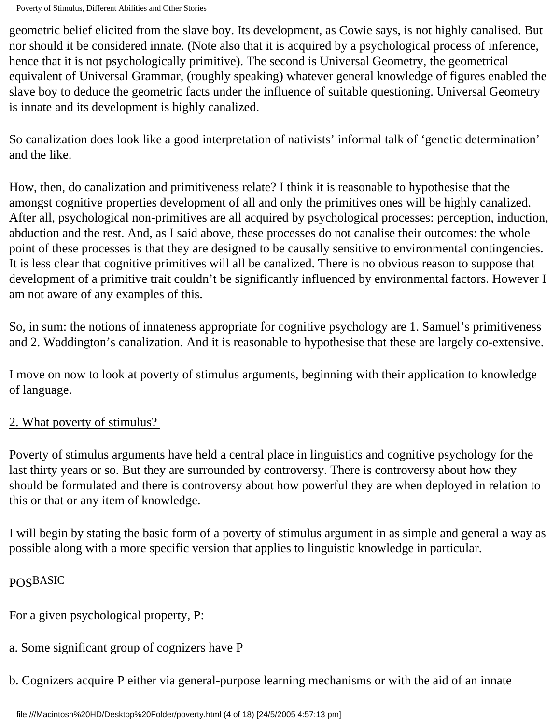Poverty of Stimulus, Different Abilities and Other Stories

geometric belief elicited from the slave boy. Its development, as Cowie says, is not highly canalised. But nor should it be considered innate. (Note also that it is acquired by a psychological process of inference, hence that it is not psychologically primitive). The second is Universal Geometry, the geometrical equivalent of Universal Grammar, (roughly speaking) whatever general knowledge of figures enabled the slave boy to deduce the geometric facts under the influence of suitable questioning. Universal Geometry is innate and its development is highly canalized.

So canalization does look like a good interpretation of nativists' informal talk of 'genetic determination' and the like.

How, then, do canalization and primitiveness relate? I think it is reasonable to hypothesise that the amongst cognitive properties development of all and only the primitives ones will be highly canalized. After all, psychological non-primitives are all acquired by psychological processes: perception, induction, abduction and the rest. And, as I said above, these processes do not canalise their outcomes: the whole point of these processes is that they are designed to be causally sensitive to environmental contingencies. It is less clear that cognitive primitives will all be canalized. There is no obvious reason to suppose that development of a primitive trait couldn't be significantly influenced by environmental factors. However I am not aware of any examples of this.

So, in sum: the notions of innateness appropriate for cognitive psychology are 1. Samuel's primitiveness and 2. Waddington's canalization. And it is reasonable to hypothesise that these are largely co-extensive.

I move on now to look at poverty of stimulus arguments, beginning with their application to knowledge of language.

## 2. What poverty of stimulus?

Poverty of stimulus arguments have held a central place in linguistics and cognitive psychology for the last thirty years or so. But they are surrounded by controversy. There is controversy about how they should be formulated and there is controversy about how powerful they are when deployed in relation to this or that or any item of knowledge.

I will begin by stating the basic form of a poverty of stimulus argument in as simple and general a way as possible along with a more specific version that applies to linguistic knowledge in particular.

## POSBASIC

For a given psychological property, P:

- a. Some significant group of cognizers have P
- b. Cognizers acquire P either via general-purpose learning mechanisms or with the aid of an innate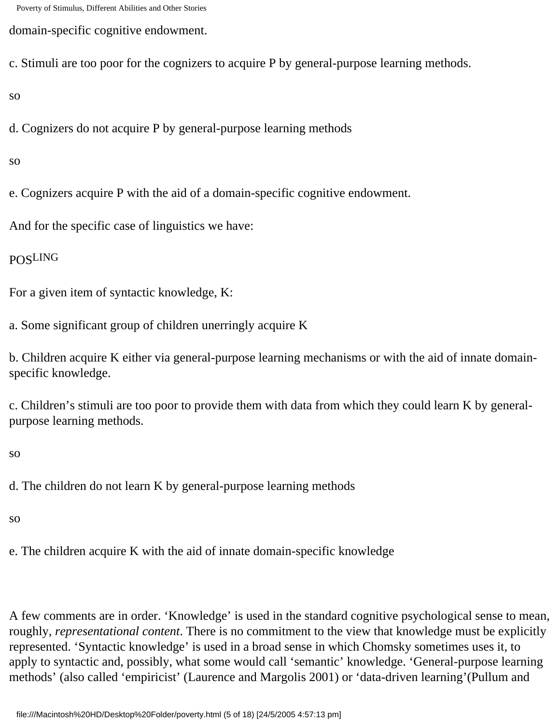Poverty of Stimulus, Different Abilities and Other Stories

domain-specific cognitive endowment.

c. Stimuli are too poor for the cognizers to acquire P by general-purpose learning methods.

so

d. Cognizers do not acquire P by general-purpose learning methods

so

e. Cognizers acquire P with the aid of a domain-specific cognitive endowment.

And for the specific case of linguistics we have:

POSLING

For a given item of syntactic knowledge, K:

a. Some significant group of children unerringly acquire K

b. Children acquire K either via general-purpose learning mechanisms or with the aid of innate domainspecific knowledge.

c. Children's stimuli are too poor to provide them with data from which they could learn K by generalpurpose learning methods.

so

d. The children do not learn K by general-purpose learning methods

so

e. The children acquire K with the aid of innate domain-specific knowledge

A few comments are in order. 'Knowledge' is used in the standard cognitive psychological sense to mean, roughly, *representational content*. There is no commitment to the view that knowledge must be explicitly represented. 'Syntactic knowledge' is used in a broad sense in which Chomsky sometimes uses it, to apply to syntactic and, possibly, what some would call 'semantic' knowledge. 'General-purpose learning methods' (also called 'empiricist' (Laurence and Margolis 2001) or 'data-driven learning'(Pullum and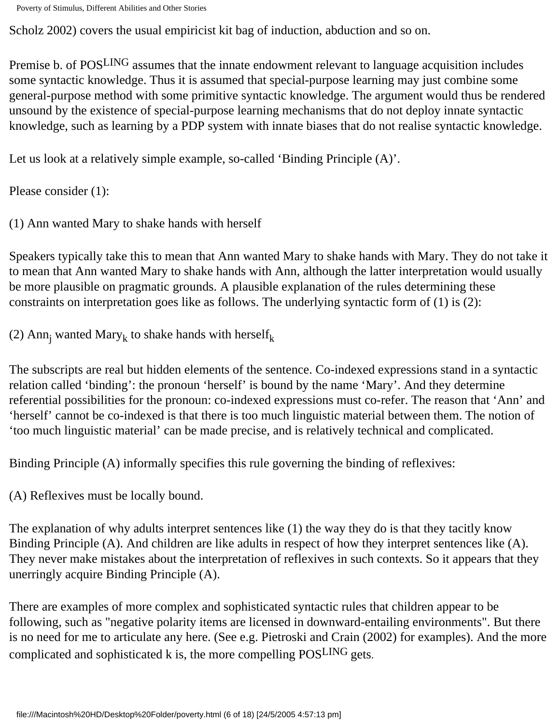```
Poverty of Stimulus, Different Abilities and Other Stories
```
Scholz 2002) covers the usual empiricist kit bag of induction, abduction and so on.

Premise b. of POSLING assumes that the innate endowment relevant to language acquisition includes some syntactic knowledge. Thus it is assumed that special-purpose learning may just combine some general-purpose method with some primitive syntactic knowledge. The argument would thus be rendered unsound by the existence of special-purpose learning mechanisms that do not deploy innate syntactic knowledge, such as learning by a PDP system with innate biases that do not realise syntactic knowledge.

Let us look at a relatively simple example, so-called 'Binding Principle (A)'.

Please consider (1):

(1) Ann wanted Mary to shake hands with herself

Speakers typically take this to mean that Ann wanted Mary to shake hands with Mary. They do not take it to mean that Ann wanted Mary to shake hands with Ann, although the latter interpretation would usually be more plausible on pragmatic grounds. A plausible explanation of the rules determining these constraints on interpretation goes like as follows. The underlying syntactic form of (1) is (2):

(2) Ann<sub>j</sub> wanted Mary<sub>k</sub> to shake hands with herself<sub>k</sub>

The subscripts are real but hidden elements of the sentence. Co-indexed expressions stand in a syntactic relation called 'binding': the pronoun 'herself' is bound by the name 'Mary'. And they determine referential possibilities for the pronoun: co-indexed expressions must co-refer. The reason that 'Ann' and 'herself' cannot be co-indexed is that there is too much linguistic material between them. The notion of 'too much linguistic material' can be made precise, and is relatively technical and complicated.

Binding Principle (A) informally specifies this rule governing the binding of reflexives:

(A) Reflexives must be locally bound.

The explanation of why adults interpret sentences like (1) the way they do is that they tacitly know Binding Principle (A). And children are like adults in respect of how they interpret sentences like (A). They never make mistakes about the interpretation of reflexives in such contexts. So it appears that they unerringly acquire Binding Principle (A).

There are examples of more complex and sophisticated syntactic rules that children appear to be following, such as "negative polarity items are licensed in downward-entailing environments". But there is no need for me to articulate any here. (See e.g. Pietroski and Crain (2002) for examples). And the more complicated and sophisticated k is, the more compelling POSLING gets.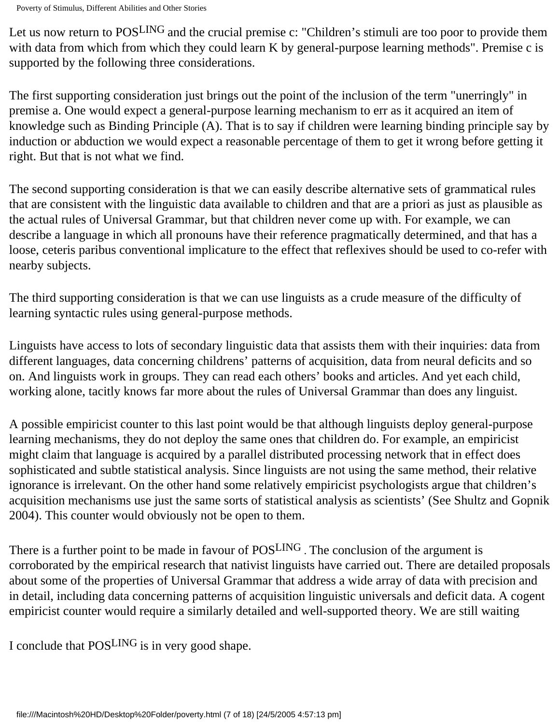Let us now return to POSLING and the crucial premise c: "Children's stimuli are too poor to provide them with data from which from which they could learn K by general-purpose learning methods". Premise c is supported by the following three considerations.

The first supporting consideration just brings out the point of the inclusion of the term "unerringly" in premise a. One would expect a general-purpose learning mechanism to err as it acquired an item of knowledge such as Binding Principle (A). That is to say if children were learning binding principle say by induction or abduction we would expect a reasonable percentage of them to get it wrong before getting it right. But that is not what we find.

The second supporting consideration is that we can easily describe alternative sets of grammatical rules that are consistent with the linguistic data available to children and that are a priori as just as plausible as the actual rules of Universal Grammar, but that children never come up with. For example, we can describe a language in which all pronouns have their reference pragmatically determined, and that has a loose, ceteris paribus conventional implicature to the effect that reflexives should be used to co-refer with nearby subjects.

The third supporting consideration is that we can use linguists as a crude measure of the difficulty of learning syntactic rules using general-purpose methods.

Linguists have access to lots of secondary linguistic data that assists them with their inquiries: data from different languages, data concerning childrens' patterns of acquisition, data from neural deficits and so on. And linguists work in groups. They can read each others' books and articles. And yet each child, working alone, tacitly knows far more about the rules of Universal Grammar than does any linguist.

A possible empiricist counter to this last point would be that although linguists deploy general-purpose learning mechanisms, they do not deploy the same ones that children do. For example, an empiricist might claim that language is acquired by a parallel distributed processing network that in effect does sophisticated and subtle statistical analysis. Since linguists are not using the same method, their relative ignorance is irrelevant. On the other hand some relatively empiricist psychologists argue that children's acquisition mechanisms use just the same sorts of statistical analysis as scientists' (See Shultz and Gopnik 2004). This counter would obviously not be open to them.

There is a further point to be made in favour of POS<sup>LING</sup>. The conclusion of the argument is corroborated by the empirical research that nativist linguists have carried out. There are detailed proposals about some of the properties of Universal Grammar that address a wide array of data with precision and in detail, including data concerning patterns of acquisition linguistic universals and deficit data. A cogent empiricist counter would require a similarly detailed and well-supported theory. We are still waiting

I conclude that POSLING is in very good shape.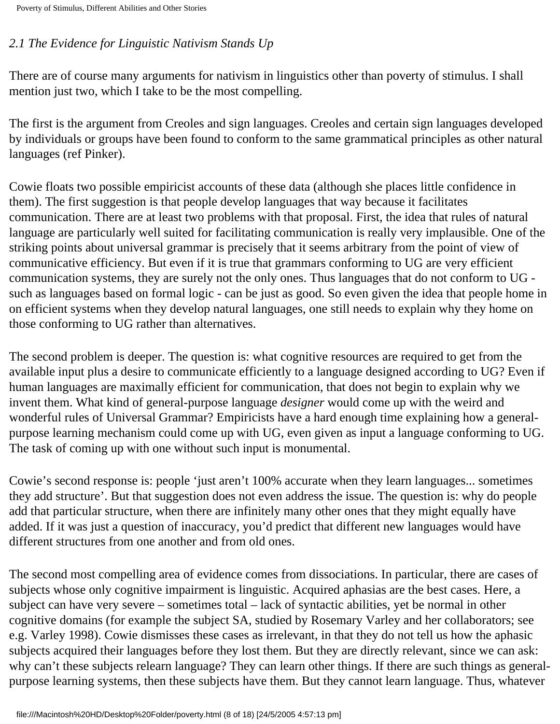#### *2.1 The Evidence for Linguistic Nativism Stands Up*

There are of course many arguments for nativism in linguistics other than poverty of stimulus. I shall mention just two, which I take to be the most compelling.

The first is the argument from Creoles and sign languages. Creoles and certain sign languages developed by individuals or groups have been found to conform to the same grammatical principles as other natural languages (ref Pinker).

Cowie floats two possible empiricist accounts of these data (although she places little confidence in them). The first suggestion is that people develop languages that way because it facilitates communication. There are at least two problems with that proposal. First, the idea that rules of natural language are particularly well suited for facilitating communication is really very implausible. One of the striking points about universal grammar is precisely that it seems arbitrary from the point of view of communicative efficiency. But even if it is true that grammars conforming to UG are very efficient communication systems, they are surely not the only ones. Thus languages that do not conform to UG such as languages based on formal logic - can be just as good. So even given the idea that people home in on efficient systems when they develop natural languages, one still needs to explain why they home on those conforming to UG rather than alternatives.

The second problem is deeper. The question is: what cognitive resources are required to get from the available input plus a desire to communicate efficiently to a language designed according to UG? Even if human languages are maximally efficient for communication, that does not begin to explain why we invent them. What kind of general-purpose language *designer* would come up with the weird and wonderful rules of Universal Grammar? Empiricists have a hard enough time explaining how a generalpurpose learning mechanism could come up with UG, even given as input a language conforming to UG. The task of coming up with one without such input is monumental.

Cowie's second response is: people 'just aren't 100% accurate when they learn languages... sometimes they add structure'. But that suggestion does not even address the issue. The question is: why do people add that particular structure, when there are infinitely many other ones that they might equally have added. If it was just a question of inaccuracy, you'd predict that different new languages would have different structures from one another and from old ones.

The second most compelling area of evidence comes from dissociations. In particular, there are cases of subjects whose only cognitive impairment is linguistic. Acquired aphasias are the best cases. Here, a subject can have very severe – sometimes total – lack of syntactic abilities, yet be normal in other cognitive domains (for example the subject SA, studied by Rosemary Varley and her collaborators; see e.g. Varley 1998). Cowie dismisses these cases as irrelevant, in that they do not tell us how the aphasic subjects acquired their languages before they lost them. But they are directly relevant, since we can ask: why can't these subjects relearn language? They can learn other things. If there are such things as generalpurpose learning systems, then these subjects have them. But they cannot learn language. Thus, whatever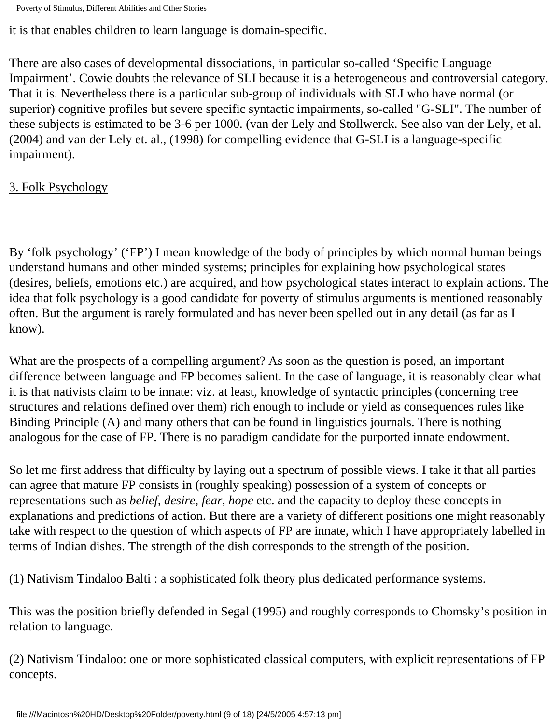Poverty of Stimulus, Different Abilities and Other Stories

it is that enables children to learn language is domain-specific.

There are also cases of developmental dissociations, in particular so-called 'Specific Language Impairment'. Cowie doubts the relevance of SLI because it is a heterogeneous and controversial category. That it is. Nevertheless there is a particular sub-group of individuals with SLI who have normal (or superior) cognitive profiles but severe specific syntactic impairments, so-called "G-SLI". The number of these subjects is estimated to be 3-6 per 1000. (van der Lely and Stollwerck. See also van der Lely, et al. (2004) and van der Lely et. al., (1998) for compelling evidence that G-SLI is a language-specific impairment).

# 3. Folk Psychology

By 'folk psychology' ('FP') I mean knowledge of the body of principles by which normal human beings understand humans and other minded systems; principles for explaining how psychological states (desires, beliefs, emotions etc.) are acquired, and how psychological states interact to explain actions. The idea that folk psychology is a good candidate for poverty of stimulus arguments is mentioned reasonably often. But the argument is rarely formulated and has never been spelled out in any detail (as far as I know).

What are the prospects of a compelling argument? As soon as the question is posed, an important difference between language and FP becomes salient. In the case of language, it is reasonably clear what it is that nativists claim to be innate: viz. at least, knowledge of syntactic principles (concerning tree structures and relations defined over them) rich enough to include or yield as consequences rules like Binding Principle (A) and many others that can be found in linguistics journals. There is nothing analogous for the case of FP. There is no paradigm candidate for the purported innate endowment.

So let me first address that difficulty by laying out a spectrum of possible views. I take it that all parties can agree that mature FP consists in (roughly speaking) possession of a system of concepts or representations such as *belief*, *desire*, *fear*, *hope* etc. and the capacity to deploy these concepts in explanations and predictions of action. But there are a variety of different positions one might reasonably take with respect to the question of which aspects of FP are innate, which I have appropriately labelled in terms of Indian dishes. The strength of the dish corresponds to the strength of the position.

(1) Nativism Tindaloo Balti : a sophisticated folk theory plus dedicated performance systems.

This was the position briefly defended in Segal (1995) and roughly corresponds to Chomsky's position in relation to language.

(2) Nativism Tindaloo: one or more sophisticated classical computers, with explicit representations of FP concepts.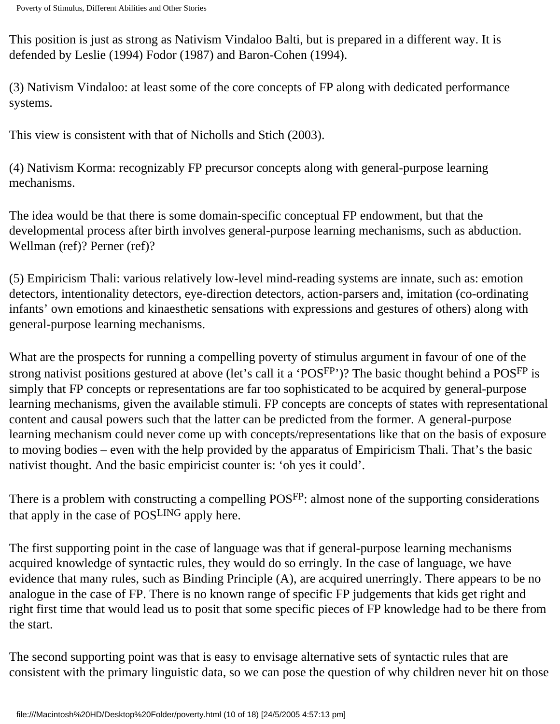This position is just as strong as Nativism Vindaloo Balti, but is prepared in a different way. It is defended by Leslie (1994) Fodor (1987) and Baron-Cohen (1994).

(3) Nativism Vindaloo: at least some of the core concepts of FP along with dedicated performance systems.

This view is consistent with that of Nicholls and Stich (2003).

(4) Nativism Korma: recognizably FP precursor concepts along with general-purpose learning mechanisms.

The idea would be that there is some domain-specific conceptual FP endowment, but that the developmental process after birth involves general-purpose learning mechanisms, such as abduction. Wellman (ref)? Perner (ref)?

(5) Empiricism Thali: various relatively low-level mind-reading systems are innate, such as: emotion detectors, intentionality detectors, eye-direction detectors, action-parsers and, imitation (co-ordinating infants' own emotions and kinaesthetic sensations with expressions and gestures of others) along with general-purpose learning mechanisms.

What are the prospects for running a compelling poverty of stimulus argument in favour of one of the strong nativist positions gestured at above (let's call it a 'POS<sup>FP'</sup>)? The basic thought behind a POS<sup>FP</sup> is simply that FP concepts or representations are far too sophisticated to be acquired by general-purpose learning mechanisms, given the available stimuli. FP concepts are concepts of states with representational content and causal powers such that the latter can be predicted from the former. A general-purpose learning mechanism could never come up with concepts/representations like that on the basis of exposure to moving bodies – even with the help provided by the apparatus of Empiricism Thali. That's the basic nativist thought. And the basic empiricist counter is: 'oh yes it could'.

There is a problem with constructing a compelling POS<sup>FP</sup>: almost none of the supporting considerations that apply in the case of POSLING apply here.

The first supporting point in the case of language was that if general-purpose learning mechanisms acquired knowledge of syntactic rules, they would do so erringly. In the case of language, we have evidence that many rules, such as Binding Principle (A), are acquired unerringly. There appears to be no analogue in the case of FP. There is no known range of specific FP judgements that kids get right and right first time that would lead us to posit that some specific pieces of FP knowledge had to be there from the start.

The second supporting point was that is easy to envisage alternative sets of syntactic rules that are consistent with the primary linguistic data, so we can pose the question of why children never hit on those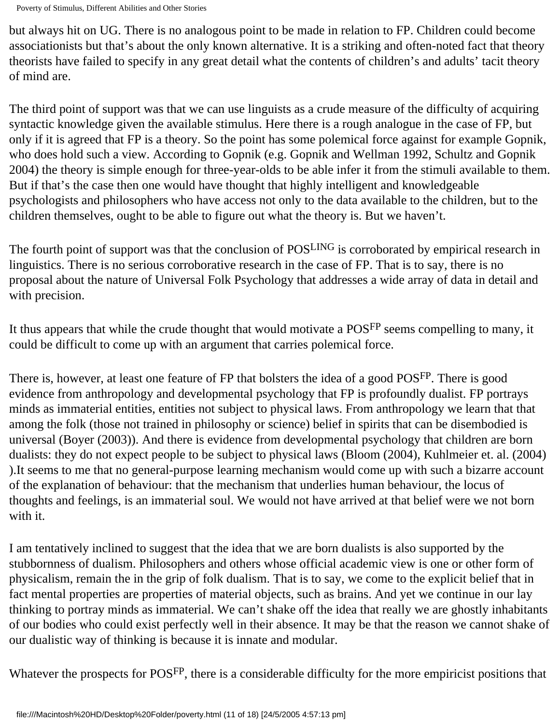but always hit on UG. There is no analogous point to be made in relation to FP. Children could become associationists but that's about the only known alternative. It is a striking and often-noted fact that theory theorists have failed to specify in any great detail what the contents of children's and adults' tacit theory of mind are.

The third point of support was that we can use linguists as a crude measure of the difficulty of acquiring syntactic knowledge given the available stimulus. Here there is a rough analogue in the case of FP, but only if it is agreed that FP is a theory. So the point has some polemical force against for example Gopnik, who does hold such a view. According to Gopnik (e.g. Gopnik and Wellman 1992, Schultz and Gopnik 2004) the theory is simple enough for three-year-olds to be able infer it from the stimuli available to them. But if that's the case then one would have thought that highly intelligent and knowledgeable psychologists and philosophers who have access not only to the data available to the children, but to the children themselves, ought to be able to figure out what the theory is. But we haven't.

The fourth point of support was that the conclusion of POSLING is corroborated by empirical research in linguistics. There is no serious corroborative research in the case of FP. That is to say, there is no proposal about the nature of Universal Folk Psychology that addresses a wide array of data in detail and with precision.

It thus appears that while the crude thought that would motivate a POSFP seems compelling to many, it could be difficult to come up with an argument that carries polemical force.

There is, however, at least one feature of FP that bolsters the idea of a good POS<sup>FP</sup>. There is good evidence from anthropology and developmental psychology that FP is profoundly dualist. FP portrays minds as immaterial entities, entities not subject to physical laws. From anthropology we learn that that among the folk (those not trained in philosophy or science) belief in spirits that can be disembodied is universal (Boyer (2003)). And there is evidence from developmental psychology that children are born dualists: they do not expect people to be subject to physical laws (Bloom (2004), Kuhlmeier et. al. (2004) ).It seems to me that no general-purpose learning mechanism would come up with such a bizarre account of the explanation of behaviour: that the mechanism that underlies human behaviour, the locus of thoughts and feelings, is an immaterial soul. We would not have arrived at that belief were we not born with it.

I am tentatively inclined to suggest that the idea that we are born dualists is also supported by the stubbornness of dualism. Philosophers and others whose official academic view is one or other form of physicalism, remain the in the grip of folk dualism. That is to say, we come to the explicit belief that in fact mental properties are properties of material objects, such as brains. And yet we continue in our lay thinking to portray minds as immaterial. We can't shake off the idea that really we are ghostly inhabitants of our bodies who could exist perfectly well in their absence. It may be that the reason we cannot shake of our dualistic way of thinking is because it is innate and modular.

Whatever the prospects for POS<sup>FP</sup>, there is a considerable difficulty for the more empiricist positions that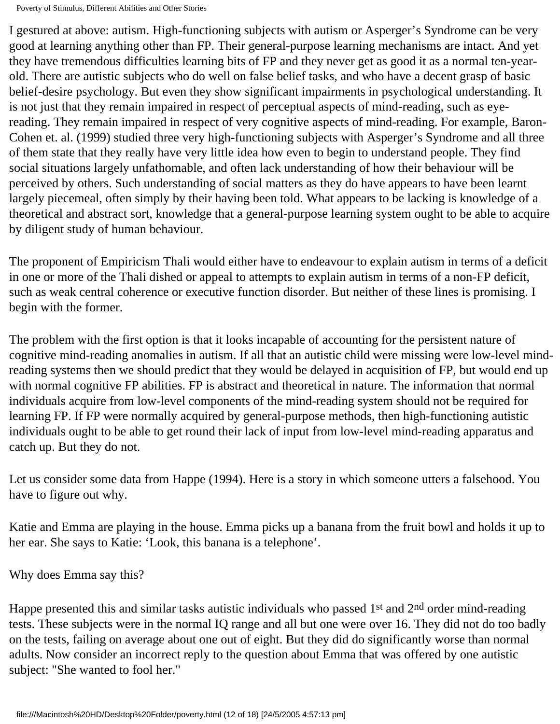Poverty of Stimulus, Different Abilities and Other Stories

I gestured at above: autism. High-functioning subjects with autism or Asperger's Syndrome can be very good at learning anything other than FP. Their general-purpose learning mechanisms are intact. And yet they have tremendous difficulties learning bits of FP and they never get as good it as a normal ten-yearold. There are autistic subjects who do well on false belief tasks, and who have a decent grasp of basic belief-desire psychology. But even they show significant impairments in psychological understanding. It is not just that they remain impaired in respect of perceptual aspects of mind-reading, such as eyereading. They remain impaired in respect of very cognitive aspects of mind-reading. For example, Baron-Cohen et. al. (1999) studied three very high-functioning subjects with Asperger's Syndrome and all three of them state that they really have very little idea how even to begin to understand people. They find social situations largely unfathomable, and often lack understanding of how their behaviour will be perceived by others. Such understanding of social matters as they do have appears to have been learnt largely piecemeal, often simply by their having been told. What appears to be lacking is knowledge of a theoretical and abstract sort, knowledge that a general-purpose learning system ought to be able to acquire by diligent study of human behaviour.

The proponent of Empiricism Thali would either have to endeavour to explain autism in terms of a deficit in one or more of the Thali dished or appeal to attempts to explain autism in terms of a non-FP deficit, such as weak central coherence or executive function disorder. But neither of these lines is promising. I begin with the former.

The problem with the first option is that it looks incapable of accounting for the persistent nature of cognitive mind-reading anomalies in autism. If all that an autistic child were missing were low-level mindreading systems then we should predict that they would be delayed in acquisition of FP, but would end up with normal cognitive FP abilities. FP is abstract and theoretical in nature. The information that normal individuals acquire from low-level components of the mind-reading system should not be required for learning FP. If FP were normally acquired by general-purpose methods, then high-functioning autistic individuals ought to be able to get round their lack of input from low-level mind-reading apparatus and catch up. But they do not.

Let us consider some data from Happe (1994). Here is a story in which someone utters a falsehood. You have to figure out why.

Katie and Emma are playing in the house. Emma picks up a banana from the fruit bowl and holds it up to her ear. She says to Katie: 'Look, this banana is a telephone'.

Why does Emma say this?

Happe presented this and similar tasks autistic individuals who passed 1<sup>st</sup> and 2<sup>nd</sup> order mind-reading tests. These subjects were in the normal IQ range and all but one were over 16. They did not do too badly on the tests, failing on average about one out of eight. But they did do significantly worse than normal adults. Now consider an incorrect reply to the question about Emma that was offered by one autistic subject: "She wanted to fool her."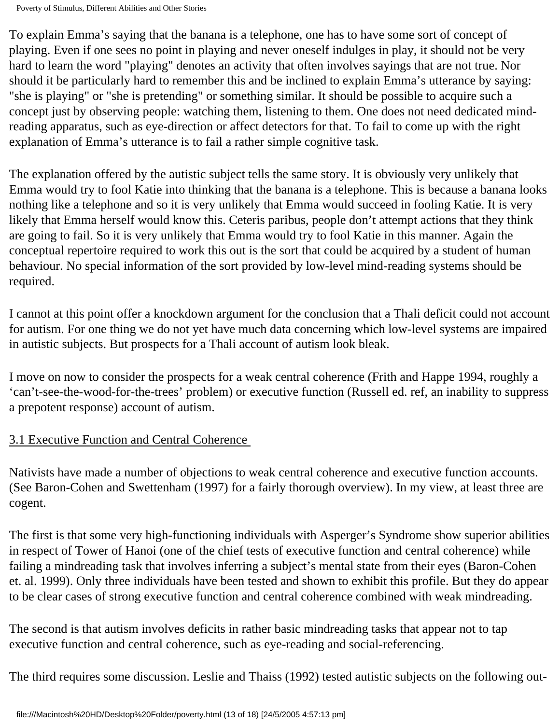To explain Emma's saying that the banana is a telephone, one has to have some sort of concept of playing. Even if one sees no point in playing and never oneself indulges in play, it should not be very hard to learn the word "playing" denotes an activity that often involves sayings that are not true. Nor should it be particularly hard to remember this and be inclined to explain Emma's utterance by saying: "she is playing" or "she is pretending" or something similar. It should be possible to acquire such a concept just by observing people: watching them, listening to them. One does not need dedicated mindreading apparatus, such as eye-direction or affect detectors for that. To fail to come up with the right explanation of Emma's utterance is to fail a rather simple cognitive task.

The explanation offered by the autistic subject tells the same story. It is obviously very unlikely that Emma would try to fool Katie into thinking that the banana is a telephone. This is because a banana looks nothing like a telephone and so it is very unlikely that Emma would succeed in fooling Katie. It is very likely that Emma herself would know this. Ceteris paribus, people don't attempt actions that they think are going to fail. So it is very unlikely that Emma would try to fool Katie in this manner. Again the conceptual repertoire required to work this out is the sort that could be acquired by a student of human behaviour. No special information of the sort provided by low-level mind-reading systems should be required.

I cannot at this point offer a knockdown argument for the conclusion that a Thali deficit could not account for autism. For one thing we do not yet have much data concerning which low-level systems are impaired in autistic subjects. But prospects for a Thali account of autism look bleak.

I move on now to consider the prospects for a weak central coherence (Frith and Happe 1994, roughly a 'can't-see-the-wood-for-the-trees' problem) or executive function (Russell ed. ref, an inability to suppress a prepotent response) account of autism.

#### 3.1 Executive Function and Central Coherence

Nativists have made a number of objections to weak central coherence and executive function accounts. (See Baron-Cohen and Swettenham (1997) for a fairly thorough overview). In my view, at least three are cogent.

The first is that some very high-functioning individuals with Asperger's Syndrome show superior abilities in respect of Tower of Hanoi (one of the chief tests of executive function and central coherence) while failing a mindreading task that involves inferring a subject's mental state from their eyes (Baron-Cohen et. al. 1999). Only three individuals have been tested and shown to exhibit this profile. But they do appear to be clear cases of strong executive function and central coherence combined with weak mindreading.

The second is that autism involves deficits in rather basic mindreading tasks that appear not to tap executive function and central coherence, such as eye-reading and social-referencing.

The third requires some discussion. Leslie and Thaiss (1992) tested autistic subjects on the following out-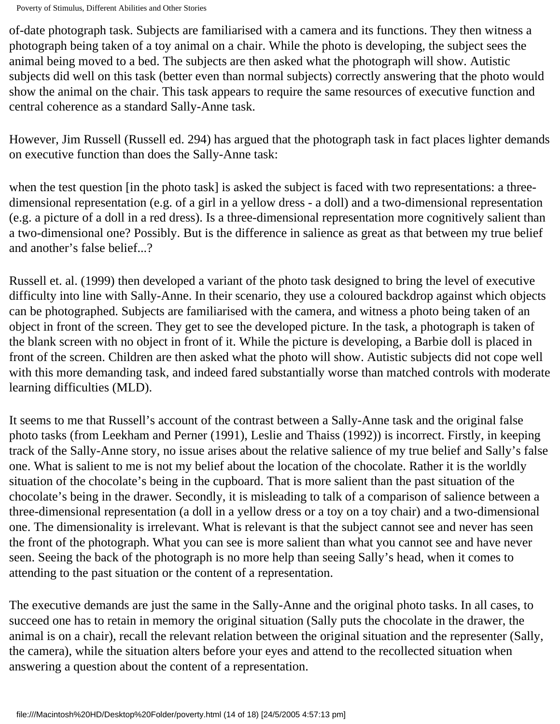Poverty of Stimulus, Different Abilities and Other Stories

of-date photograph task. Subjects are familiarised with a camera and its functions. They then witness a photograph being taken of a toy animal on a chair. While the photo is developing, the subject sees the animal being moved to a bed. The subjects are then asked what the photograph will show. Autistic subjects did well on this task (better even than normal subjects) correctly answering that the photo would show the animal on the chair. This task appears to require the same resources of executive function and central coherence as a standard Sally-Anne task.

However, Jim Russell (Russell ed. 294) has argued that the photograph task in fact places lighter demands on executive function than does the Sally-Anne task:

when the test question [in the photo task] is asked the subject is faced with two representations: a threedimensional representation (e.g. of a girl in a yellow dress - a doll) and a two-dimensional representation (e.g. a picture of a doll in a red dress). Is a three-dimensional representation more cognitively salient than a two-dimensional one? Possibly. But is the difference in salience as great as that between my true belief and another's false belief...?

Russell et. al. (1999) then developed a variant of the photo task designed to bring the level of executive difficulty into line with Sally-Anne. In their scenario, they use a coloured backdrop against which objects can be photographed. Subjects are familiarised with the camera, and witness a photo being taken of an object in front of the screen. They get to see the developed picture. In the task, a photograph is taken of the blank screen with no object in front of it. While the picture is developing, a Barbie doll is placed in front of the screen. Children are then asked what the photo will show. Autistic subjects did not cope well with this more demanding task, and indeed fared substantially worse than matched controls with moderate learning difficulties (MLD).

It seems to me that Russell's account of the contrast between a Sally-Anne task and the original false photo tasks (from Leekham and Perner (1991), Leslie and Thaiss (1992)) is incorrect. Firstly, in keeping track of the Sally-Anne story, no issue arises about the relative salience of my true belief and Sally's false one. What is salient to me is not my belief about the location of the chocolate. Rather it is the worldly situation of the chocolate's being in the cupboard. That is more salient than the past situation of the chocolate's being in the drawer. Secondly, it is misleading to talk of a comparison of salience between a three-dimensional representation (a doll in a yellow dress or a toy on a toy chair) and a two-dimensional one. The dimensionality is irrelevant. What is relevant is that the subject cannot see and never has seen the front of the photograph. What you can see is more salient than what you cannot see and have never seen. Seeing the back of the photograph is no more help than seeing Sally's head, when it comes to attending to the past situation or the content of a representation.

The executive demands are just the same in the Sally-Anne and the original photo tasks. In all cases, to succeed one has to retain in memory the original situation (Sally puts the chocolate in the drawer, the animal is on a chair), recall the relevant relation between the original situation and the representer (Sally, the camera), while the situation alters before your eyes and attend to the recollected situation when answering a question about the content of a representation.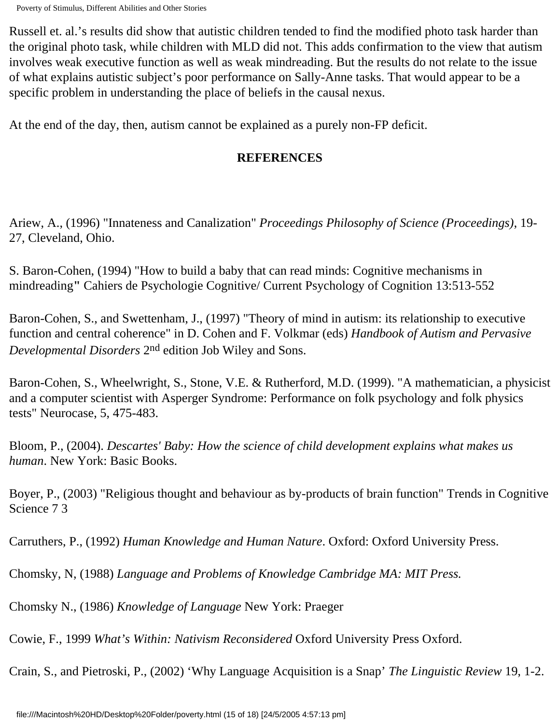```
Poverty of Stimulus, Different Abilities and Other Stories
```
Russell et. al.'s results did show that autistic children tended to find the modified photo task harder than the original photo task, while children with MLD did not. This adds confirmation to the view that autism involves weak executive function as well as weak mindreading. But the results do not relate to the issue of what explains autistic subject's poor performance on Sally-Anne tasks. That would appear to be a specific problem in understanding the place of beliefs in the causal nexus.

At the end of the day, then, autism cannot be explained as a purely non-FP deficit.

## **REFERENCES**

Ariew, A., (1996) "Innateness and Canalization" *Proceedings Philosophy of Science (Proceedings)*, 19- 27, Cleveland, Ohio.

S. Baron-Cohen, (1994) "How to build a baby that can read minds: Cognitive mechanisms in mindreading**"** Cahiers de Psychologie Cognitive/ Current Psychology of Cognition 13:513-552

Baron-Cohen, S., and Swettenham, J., (1997) "Theory of mind in autism: its relationship to executive function and central coherence" in D. Cohen and F. Volkmar (eds) *Handbook of Autism and Pervasive Developmental Disorders* 2nd edition Job Wiley and Sons.

Baron-Cohen, S., Wheelwright, S., Stone, V.E. & Rutherford, M.D. (1999). "A mathematician, a physicist and a computer scientist with Asperger Syndrome: Performance on folk psychology and folk physics tests" Neurocase, 5, 475-483.

Bloom, P., (2004). *Descartes' Baby: How the science of child development explains what makes us human*. New York: Basic Books.

Boyer, P., (2003) "Religious thought and behaviour as by-products of brain function" Trends in Cognitive Science 7 3

Carruthers, P., (1992) *Human Knowledge and Human Nature*. Oxford: Oxford University Press.

Chomsky, N, (1988) *Language and Problems of Knowledge Cambridge MA: MIT Press.* 

Chomsky N., (1986) *Knowledge of Language* New York: Praeger

Cowie, F., 1999 *What's Within: Nativism Reconsidered* Oxford University Press Oxford.

Crain, S., and Pietroski, P., (2002) 'Why Language Acquisition is a Snap' *The Linguistic Review* 19, 1-2.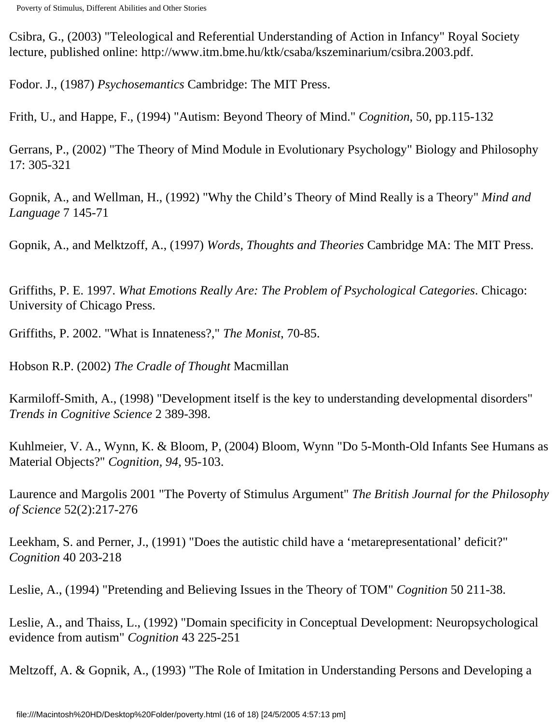Csibra, G., (2003) "Teleological and Referential Understanding of Action in Infancy" Royal Society lecture, published online: http://www.itm.bme.hu/ktk/csaba/kszeminarium/csibra.2003.pdf.

Fodor. J., (1987) *Psychosemantics* Cambridge: The MIT Press.

Frith, U., and Happe, F., (1994) "Autism: Beyond Theory of Mind." *Cognition*, 50, pp.115-132

Gerrans, P., (2002) "The Theory of Mind Module in Evolutionary Psychology" Biology and Philosophy 17: 305-321

Gopnik, A., and Wellman, H., (1992) "Why the Child's Theory of Mind Really is a Theory" *Mind and Language* 7 145-71

Gopnik, A., and Melktzoff, A., (1997) *Words, Thoughts and Theories* Cambridge MA: The MIT Press.

Griffiths, P. E. 1997. *What Emotions Really Are: The Problem of Psychological Categories*. Chicago: University of Chicago Press.

Griffiths, P. 2002. "What is Innateness?," *The Monist*, 70-85.

Hobson R.P. (2002) *The Cradle of Thought* Macmillan

Karmiloff-Smith, A., (1998) "Development itself is the key to understanding developmental disorders" *Trends in Cognitive Science* 2 389-398.

Kuhlmeier, V. A., Wynn, K. & Bloom, P, (2004) Bloom, Wynn "Do 5-Month-Old Infants See Humans as Material Objects?" *Cognition, 94*, 95-103.

Laurence and Margolis 2001 "The Poverty of Stimulus Argument" *The British Journal for the Philosophy of Science* 52(2):217-276

Leekham, S. and Perner, J., (1991) "Does the autistic child have a 'metarepresentational' deficit?" *Cognition* 40 203-218

Leslie, A., (1994) "Pretending and Believing Issues in the Theory of TOM" *Cognition* 50 211-38.

Leslie, A., and Thaiss, L., (1992) "Domain specificity in Conceptual Development: Neuropsychological evidence from autism" *Cognition* 43 225-251

Meltzoff, A. & Gopnik, A., (1993) "The Role of Imitation in Understanding Persons and Developing a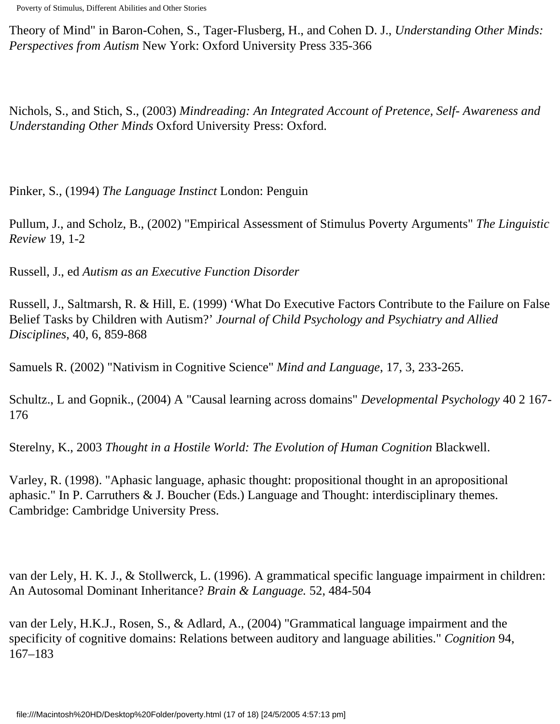Theory of Mind" in Baron-Cohen, S., Tager-Flusberg, H., and Cohen D. J., *Understanding Other Minds: Perspectives from Autism* New York: Oxford University Press 335-366

Nichols, S., and Stich, S., (2003) *Mindreading: An Integrated Account of Pretence, Self- Awareness and Understanding Other Minds* Oxford University Press: Oxford.

Pinker, S., (1994) *The Language Instinct* London: Penguin

Pullum, J., and Scholz, B., (2002) "Empirical Assessment of Stimulus Poverty Arguments" *The Linguistic Review* 19, 1-2

Russell, J., ed *Autism as an Executive Function Disorder*

Russell, J., Saltmarsh, R. & Hill, E. (1999) 'What Do Executive Factors Contribute to the Failure on False Belief Tasks by Children with Autism?' *Journal of Child Psychology and Psychiatry and Allied Disciplines*, 40, 6, 859-868

Samuels R. (2002) "Nativism in Cognitive Science" *Mind and Language*, 17, 3, 233-265.

Schultz., L and Gopnik., (2004) A "Causal learning across domains" *Developmental Psychology* 40 2 167- 176

Sterelny, K., 2003 *Thought in a Hostile World: The Evolution of Human Cognition* Blackwell.

Varley, R. (1998). "Aphasic language, aphasic thought: propositional thought in an apropositional aphasic." In P. Carruthers & J. Boucher (Eds.) Language and Thought: interdisciplinary themes. Cambridge: Cambridge University Press.

van der Lely, H. K. J., & Stollwerck, L. (1996). A grammatical specific language impairment in children: An Autosomal Dominant Inheritance? *Brain & Language.* 52, 484-504

van der Lely, H.K.J., Rosen, S., & Adlard, A., (2004) "Grammatical language impairment and the specificity of cognitive domains: Relations between auditory and language abilities." *Cognition* 94, 167–183